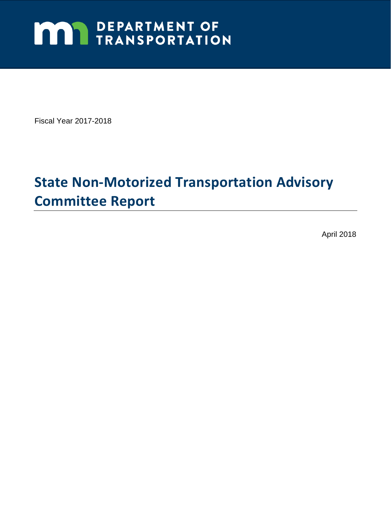# **MAY DEPARTMENT OF TRANSPORTATION**

Fiscal Year 2017-2018

# **State Non-Motorized Transportation Advisory Committee Report**

April 2018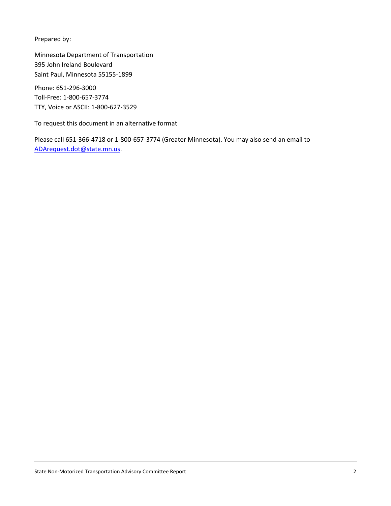Prepared by:

Minnesota Department of Transportation 395 John Ireland Boulevard Saint Paul, Minnesota 55155-1899

Phone: 651-296-3000 Toll-Free: 1-800-657-3774 TTY, Voice or ASCII: 1-800-627-3529

To request this document in an alternative format

Please call 651-366-4718 or 1-800-657-3774 (Greater Minnesota). You may also send an email to [ADArequest.dot@state.mn.us.](mailto:ADArequest.dot@state.mn.us)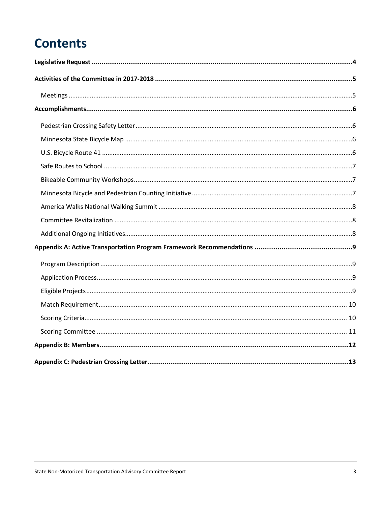# **Contents**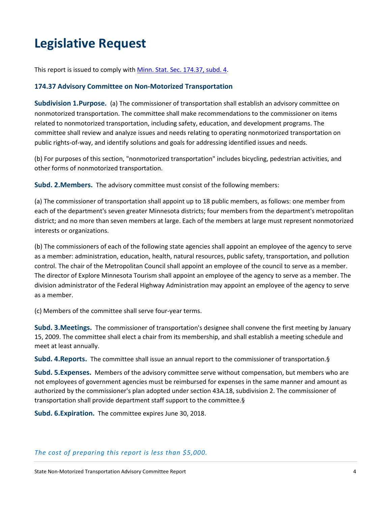## <span id="page-3-0"></span>**Legislative Request**

This report is issued to comply with [Minn. Stat. Sec. 174.37, subd. 4.](https://www.revisor.mn.gov/statutes/?id=174.37)

#### **174.37 Advisory Committee on Non-Motorized Transportation**

**Subdivision 1.Purpose.** (a) The commissioner of transportation shall establish an advisory committee on nonmotorized transportation. The committee shall make recommendations to the commissioner on items related to nonmotorized transportation, including safety, education, and development programs. The committee shall review and analyze issues and needs relating to operating nonmotorized transportation on public rights-of-way, and identify solutions and goals for addressing identified issues and needs.

(b) For purposes of this section, "nonmotorized transportation" includes bicycling, pedestrian activities, and other forms of nonmotorized transportation.

**Subd. 2.Members.** The advisory committee must consist of the following members:

(a) The commissioner of transportation shall appoint up to 18 public members, as follows: one member from each of the department's seven greater Minnesota districts; four members from the department's metropolitan district; and no more than seven members at large. Each of the members at large must represent nonmotorized interests or organizations.

(b) The commissioners of each of the following state agencies shall appoint an employee of the agency to serve as a member: administration, education, health, natural resources, public safety, transportation, and pollution control. The chair of the Metropolitan Council shall appoint an employee of the council to serve as a member. The director of Explore Minnesota Tourism shall appoint an employee of the agency to serve as a member. The division administrator of the Federal Highway Administration may appoint an employee of the agency to serve as a member.

(c) Members of the committee shall serve four-year terms.

**Subd. 3.Meetings.** The commissioner of transportation's designee shall convene the first meeting by January 15, 2009. The committee shall elect a chair from its membership, and shall establish a meeting schedule and meet at least annually.

**Subd. 4.Reports.** The committee shall issue an annual report to the commissioner of transportation[.§](https://www.revisor.mn.gov/statutes/?id=174.37#stat.174.37.5)

**Subd. 5.Expenses.** Members of the advisory committee serve without compensation, but members who are not employees of government agencies must be reimbursed for expenses in the same manner and amount as authorized by the commissioner's plan adopted under section [43A.18, subdivision 2.](https://www.revisor.mn.gov/statutes/?id=43A.18#stat.43A.18.2) The commissioner of transportation shall provide department staff support to the committee[.§](https://www.revisor.mn.gov/statutes/?id=174.37#stat.174.37.6)

**Subd. 6.Expiration.** The committee expires June 30, 2018.

#### *The cost of preparing this report is less than \$5,000.*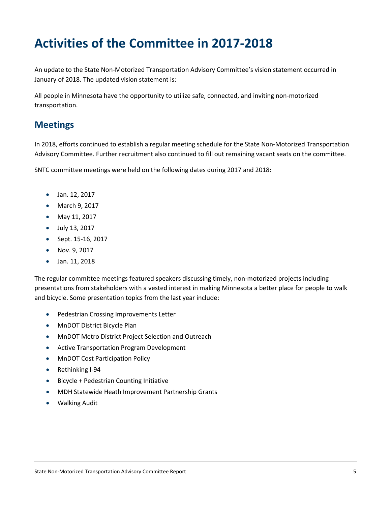## <span id="page-4-0"></span>**Activities of the Committee in 2017-2018**

An update to the State Non-Motorized Transportation Advisory Committee's vision statement occurred in January of 2018. The updated vision statement is:

All people in Minnesota have the opportunity to utilize safe, connected, and inviting non-motorized transportation.

#### <span id="page-4-1"></span>**Meetings**

In 2018, efforts continued to establish a regular meeting schedule for the State Non-Motorized Transportation Advisory Committee. Further recruitment also continued to fill out remaining vacant seats on the committee.

SNTC committee meetings were held on the following dates during 2017 and 2018:

- Jan. 12, 2017
- March 9, 2017
- May 11, 2017
- July 13, 2017
- Sept. 15-16, 2017
- Nov. 9, 2017
- Jan. 11, 2018

The regular committee meetings featured speakers discussing timely, non-motorized projects including presentations from stakeholders with a vested interest in making Minnesota a better place for people to walk and bicycle. Some presentation topics from the last year include:

- Pedestrian Crossing Improvements Letter
- MnDOT District Bicycle Plan
- MnDOT Metro District Project Selection and Outreach
- Active Transportation Program Development
- MnDOT Cost Participation Policy
- Rethinking I-94
- Bicycle + Pedestrian Counting Initiative
- MDH Statewide Heath Improvement Partnership Grants
- Walking Audit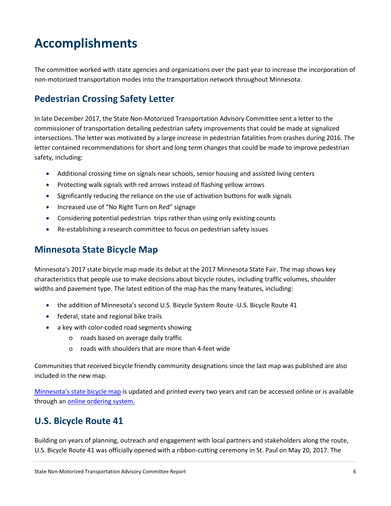## <span id="page-5-0"></span>**Accomplishments**

The committee worked with state agencies and organizations over the past year to increase the incorporation of non-motorized transportation modes into the transportation network throughout Minnesota.

#### <span id="page-5-1"></span>**Pedestrian Crossing Safety Letter**

In late December 2017, the State Non-Motorized Transportation Advisory Committee sent a letter to the commissioner of transportation detailing pedestrian safety improvements that could be made at signalized intersections. The letter was motivated by a large increase in pedestrian fatalities from crashes during 2016. The letter contained recommendations for short and long term changes that could be made to improve pedestrian safety, including:

- Additional crossing time on signals near schools, senior housing and assisted living centers
- Protecting walk signals with red arrows instead of flashing yellow arrows
- Significantly reducing the reliance on the use of activation buttons for walk signals
- Increased use of "No Right Turn on Red" signage
- Considering potential pedestrian trips rather than using only existing counts
- Re-establishing a research committee to focus on pedestrian safety issues

#### <span id="page-5-2"></span>**Minnesota State Bicycle Map**

Minnesota's 2017 state bicycle map made its debut at the 2017 Minnesota State Fair. The map shows key characteristics that people use to make decisions about bicycle routes, including traffic volumes, shoulder widths and pavement type. The latest edition of the map has the many features, including:

- the addition of Minnesota's second U.S. Bicycle System Route -U.S. Bicycle Route 41
- federal, state and regional bike trails
- a key with color-coded road segments showing
	- o roads based on average daily traffic
	- o roads with shoulders that are more than 4-feet wide

Communities that received bicycle friendly community designations since the last map was published are also included in the new map.

[Minnesota's state bicycle map](http://www.dot.state.mn.us/bike/maps/2017-state-bike-map.pdf) is updated and printed every two years and can be accessed online or is available through an [online ordering system.](http://www.dot.state.mn.us/bike/maps.html)

#### <span id="page-5-3"></span>**U.S. Bicycle Route 41**

Building on years of planning, outreach and engagement with local partners and stakeholders along the route, U.S. Bicycle Route 41 was officially opened with a ribbon-cutting ceremony in St. Paul on May 20, 2017. The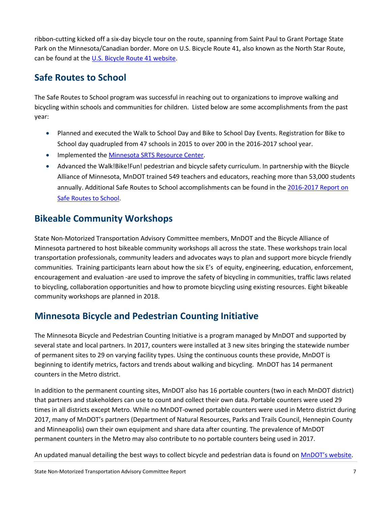ribbon-cutting kicked off a six-day bicycle tour on the route, spanning from Saint Paul to Grant Portage State Park on the Minnesota/Canadian border. More on U.S. Bicycle Route 41, also known as the North Star Route, can be found at the [U.S. Bicycle Route 41 website.](http://www.dot.state.mn.us/bike/usbr41/index.html)

## <span id="page-6-0"></span>**Safe Routes to School**

The Safe Routes to School program was successful in reaching out to organizations to improve walking and bicycling within schools and communities for children. Listed below are some accomplishments from the past year:

- Planned and executed the Walk to School Day and Bike to School Day Events. Registration for Bike to School day quadrupled from 47 schools in 2015 to over 200 in the 2016-2017 school year.
- Implemented the [Minnesota SRTS Resource Center.](http://www.dot.state.mn.us/mnsaferoutes/resources/)
- Advanced the Walk!Bike!Fun! pedestrian and bicycle safety curriculum. In partnership with the Bicycle Alliance of Minnesota, MnDOT trained 549 teachers and educators, reaching more than 53,000 students annually. Additional Safe Routes to School accomplishments can be found in th[e 2016-2017 Report on](http://www.dot.state.mn.us/govrel/reports/2017/srts-report.pdf)  [Safe Routes](http://www.dot.state.mn.us/govrel/reports/2017/srts-report.pdf) to School.

## <span id="page-6-1"></span>**Bikeable Community Workshops**

State Non-Motorized Transportation Advisory Committee members, MnDOT and the Bicycle Alliance of Minnesota partnered to host bikeable community workshops all across the state. These workshops train local transportation professionals, community leaders and advocates ways to plan and support more bicycle friendly communities. Training participants learn about how the six E's of equity, engineering, education, enforcement, encouragement and evaluation -are used to improve the safety of bicycling in communities, traffic laws related to bicycling, collaboration opportunities and how to promote bicycling using existing resources. Eight bikeable community workshops are planned in 2018.

## <span id="page-6-2"></span>**Minnesota Bicycle and Pedestrian Counting Initiative**

The Minnesota Bicycle and Pedestrian Counting Initiative is a program managed by MnDOT and supported by several state and local partners. In 2017, counters were installed at 3 new sites bringing the statewide number of permanent sites to 29 on varying facility types. Using the continuous counts these provide, MnDOT is beginning to identify metrics, factors and trends about walking and bicycling. MnDOT has 14 permanent counters in the Metro district.

In addition to the permanent counting sites, MnDOT also has 16 portable counters (two in each MnDOT district) that partners and stakeholders can use to count and collect their own data. Portable counters were used 29 times in all districts except Metro. While no MnDOT-owned portable counters were used in Metro district during 2017, many of MnDOT's partners (Department of Natural Resources, Parks and Trails Council, Hennepin County and Minneapolis) own their own equipment and share data after counting. The prevalence of MnDOT permanent counters in the Metro may also contribute to no portable counters being used in 2017.

An updated manual detailing the best ways to collect bicycle and pedestrian data is found on [MnDOT's website.](https://www.dot.state.mn.us/bike/traffic-counts/index.html)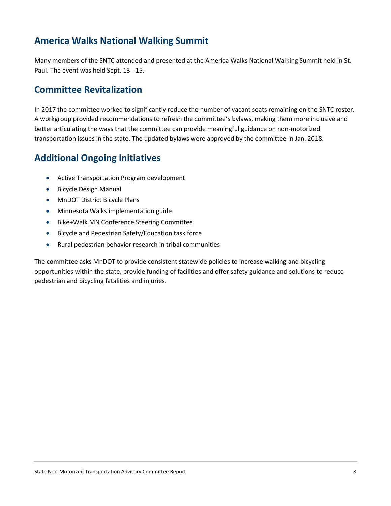#### <span id="page-7-0"></span>**America Walks National Walking Summit**

Many members of the SNTC attended and presented at the America Walks National Walking Summit held in St. Paul. The event was held Sept. 13 - 15.

#### <span id="page-7-1"></span>**Committee Revitalization**

In 2017 the committee worked to significantly reduce the number of vacant seats remaining on the SNTC roster. A workgroup provided recommendations to refresh the committee's bylaws, making them more inclusive and better articulating the ways that the committee can provide meaningful guidance on non-motorized transportation issues in the state. The updated bylaws were approved by the committee in Jan. 2018.

#### <span id="page-7-2"></span>**Additional Ongoing Initiatives**

- Active Transportation Program development
- Bicycle Design Manual
- MnDOT District Bicycle Plans
- Minnesota Walks implementation guide
- Bike+Walk MN Conference Steering Committee
- Bicycle and Pedestrian Safety/Education task force
- Rural pedestrian behavior research in tribal communities

The committee asks MnDOT to provide consistent statewide policies to increase walking and bicycling opportunities within the state, provide funding of facilities and offer safety guidance and solutions to reduce pedestrian and bicycling fatalities and injuries.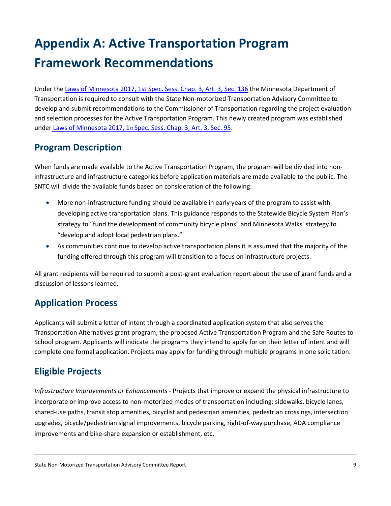# <span id="page-8-0"></span>**Appendix A: Active Transportation Program Framework Recommendations**

Under the [Laws of Minnesota 2017, 1st Spec. Sess. Chap. 3, Art. 3, Sec. 136](https://www.revisor.mn.gov/laws/?year=2017&type=1&doctype=Chapter&id=3) the Minnesota Department of Transportation is required to consult with the State Non-motorized Transportation Advisory Committee to develop and submit recommendations to the Commissioner of Transportation regarding the project evaluation and selection processes for the Active Transportation Program. This newly created program was established under [Laws of Minnesota 2017, 1st Spec. Sess. Chap. 3, Art. 3, Sec. 95.](https://www.revisor.mn.gov/laws/?year=2017&type=1&doctype=Chapter&id=3)

## <span id="page-8-1"></span>**Program Description**

When funds are made available to the Active Transportation Program, the program will be divided into noninfrastructure and infrastructure categories before application materials are made available to the public. The SNTC will divide the available funds based on consideration of the following:

- More non-infrastructure funding should be available in early years of the program to assist with developing active transportation plans. This guidance responds to the Statewide Bicycle System Plan's strategy to "fund the development of community bicycle plans" and Minnesota Walks' strategy to "develop and adopt local pedestrian plans."
- As communities continue to develop active transportation plans it is assumed that the majority of the funding offered through this program will transition to a focus on infrastructure projects.

All grant recipients will be required to submit a post-grant evaluation report about the use of grant funds and a discussion of lessons learned.

## <span id="page-8-2"></span>**Application Process**

Applicants will submit a letter of intent through a coordinated application system that also serves the Transportation Alternatives grant program, the proposed Active Transportation Program and the Safe Routes to School program. Applicants will indicate the programs they intend to apply for on their letter of intent and will complete one formal application. Projects may apply for funding through multiple programs in one solicitation.

## <span id="page-8-3"></span>**Eligible Projects**

*Infrastructure Improvements or Enhancements* - Projects that improve or expand the physical infrastructure to incorporate or improve access to non-motorized modes of transportation including: sidewalks, bicycle lanes, shared-use paths, transit stop amenities, bicyclist and pedestrian amenities, pedestrian crossings, intersection upgrades, bicycle/pedestrian signal improvements, bicycle parking, right-of-way purchase, ADA compliance improvements and bike-share expansion or establishment, etc.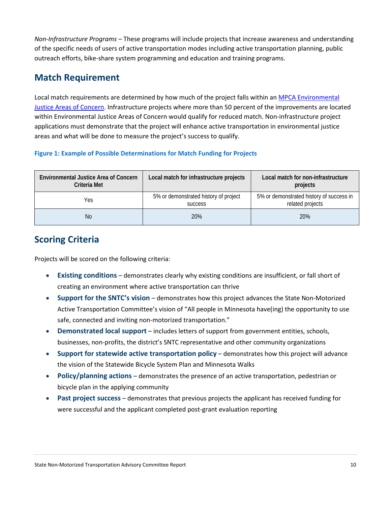<span id="page-9-0"></span>*Non-Infrastructure Programs* – These programs will include projects that increase awareness and understanding of the specific needs of users of active transportation modes including active transportation planning, public outreach efforts, bike-share system programming and education and training programs.

#### **Match Requirement**

Local match requirements are determined by how much of the project falls within an [MPCA Environmental](http://mpca.maps.arcgis.com/apps/MapSeries/index.html?appid=f5bf57c8dac24404b7f8ef1717f57d00)  [Justice Areas of Concern.](http://mpca.maps.arcgis.com/apps/MapSeries/index.html?appid=f5bf57c8dac24404b7f8ef1717f57d00) Infrastructure projects where more than 50 percent of the improvements are located within Environmental Justice Areas of Concern would qualify for reduced match. Non-infrastructure project applications must demonstrate that the project will enhance active transportation in environmental justice areas and what will be done to measure the project's success to qualify.

#### **Figure 1: Example of Possible Determinations for Match Funding for Projects**

| <b>Environmental Justice Area of Concern</b><br>Criteria Met | Local match for infrastructure projects                 | Local match for non-infrastructure<br>projects               |
|--------------------------------------------------------------|---------------------------------------------------------|--------------------------------------------------------------|
| Yes                                                          | 5% or demonstrated history of project<br><b>SUCCESS</b> | 5% or demonstrated history of success in<br>related projects |
| N <sub>o</sub>                                               | 20%                                                     | 20%                                                          |

#### <span id="page-9-1"></span>**Scoring Criteria**

Projects will be scored on the following criteria:

- **Existing conditions** demonstrates clearly why existing conditions are insufficient, or fall short of creating an environment where active transportation can thrive
- **Support for the SNTC's vision** demonstrates how this project advances the State Non-Motorized Active Transportation Committee's vision of "All people in Minnesota have(ing) the opportunity to use safe, connected and inviting non-motorized transportation."
- **Demonstrated local support** includes letters of support from government entities, schools, businesses, non-profits, the district's SNTC representative and other community organizations
- **Support for statewide active transportation policy** demonstrates how this project will advance the vision of the Statewide Bicycle System Plan and Minnesota Walks
- **Policy/planning actions**  demonstrates the presence of an active transportation, pedestrian or bicycle plan in the applying community
- <span id="page-9-2"></span>• **Past project success** – demonstrates that previous projects the applicant has received funding for were successful and the applicant completed post-grant evaluation reporting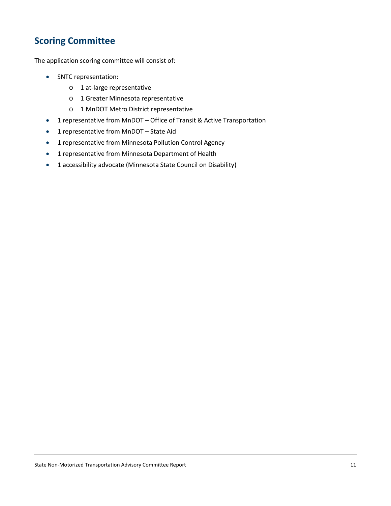#### **Scoring Committee**

The application scoring committee will consist of:

- SNTC representation:
	- o 1 at-large representative
	- o 1 Greater Minnesota representative
	- o 1 MnDOT Metro District representative
- 1 representative from MnDOT Office of Transit & Active Transportation
- 1 representative from MnDOT State Aid
- 1 representative from Minnesota Pollution Control Agency
- 1 representative from Minnesota Department of Health
- 1 accessibility advocate (Minnesota State Council on Disability)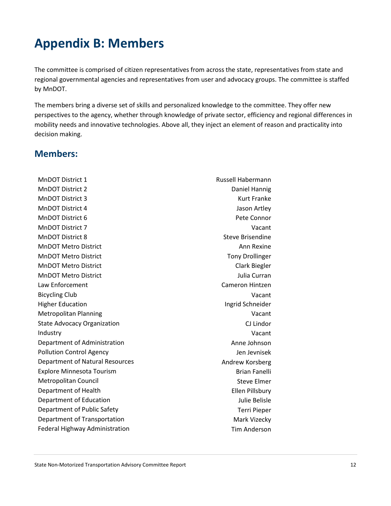## <span id="page-11-0"></span>**Appendix B: Members**

The committee is comprised of citizen representatives from across the state, representatives from state and regional governmental agencies and representatives from user and advocacy groups. The committee is staffed by MnDOT.

The members bring a diverse set of skills and personalized knowledge to the committee. They offer new perspectives to the agency, whether through knowledge of private sector, efficiency and regional differences in mobility needs and innovative technologies. Above all, they inject an element of reason and practicality into decision making.

#### **Members:**

MnDOT District 1 **Russell Habermann** MnDOT District 2 **Daniel Hannig Daniel Hannig** MnDOT District 3 Kurt Franke MnDOT District 4 Jason Artley and District 4 Jason Artley MnDOT District 6 **Pete Connor** MnDOT District 7 Vacant MnDOT District 8 Steve Brisendine MnDOT Metro District Ann Rexine MnDOT Metro District **The Contract Contract Contract Contract Contract Contract Contract Contract Contract Contract Contract Contract Contract Contract Contract Contract Contract Contract Contract Contract Contract Contrac** MnDOT Metro District Clark Biegler MnDOT Metro District Julia Curran Law Enforcement Cameron Hintzen Bicycling Club Vacant Higher Education **Ingrid Schneider** Ingrid Schneider Metropolitan Planning Vacant State Advocacy Organization **CALC 1988** CJ Lindor Industry Vacant Department of Administration and annual community of Anne Johnson Pollution Control Agency **Jen Jen Jen Jen Jen Jewisek** Department of Natural Resources Andrew Korsberg Explore Minnesota Tourism **Brian Fanelli** Explore Minnesota Tourism Metropolitan Council and Steve Elmer Steve Elmer **Department of Health Ellen Pillsbury** Ellen Pillsbury Department of Education and The Department of Education and The Department of Education Department of Public Safety Terri Pieper Department of Transportation and Mark Vizecky Mark Vizecky Federal Highway Administration Tim Anderson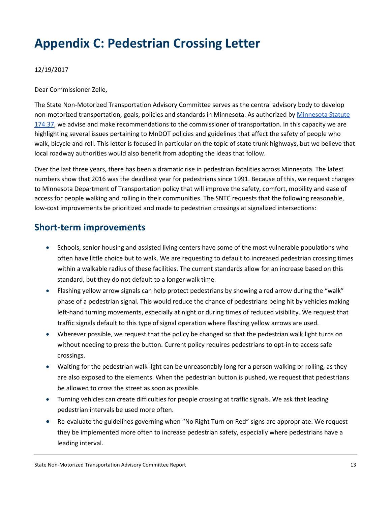## <span id="page-12-0"></span>**Appendix C: Pedestrian Crossing Letter**

#### 12/19/2017

Dear Commissioner Zelle,

The State Non-Motorized Transportation Advisory Committee serves as the central advisory body to develop non-motorized transportation, goals, policies and standards in Minnesota. As authorized by [Minnesota Statute](https://www.revisor.mn.gov/statutes/?id=174.37)  [174.37,](https://www.revisor.mn.gov/statutes/?id=174.37) we advise and make recommendations to the commissioner of transportation. In this capacity we are highlighting several issues pertaining to MnDOT policies and guidelines that affect the safety of people who walk, bicycle and roll. This letter is focused in particular on the topic of state trunk highways, but we believe that local roadway authorities would also benefit from adopting the ideas that follow.

Over the last three years, there has been a dramatic rise in pedestrian fatalities across Minnesota. The latest numbers show that 2016 was the deadliest year for pedestrians since 1991. Because of this, we request changes to Minnesota Department of Transportation policy that will improve the safety, comfort, mobility and ease of access for people walking and rolling in their communities. The SNTC requests that the following reasonable, low-cost improvements be prioritized and made to pedestrian crossings at signalized intersections:

#### **Short-term improvements**

- Schools, senior housing and assisted living centers have some of the most vulnerable populations who often have little choice but to walk. We are requesting to default to increased pedestrian crossing times within a walkable radius of these facilities. The current standards allow for an increase based on this standard, but they do not default to a longer walk time.
- Flashing yellow arrow signals can help protect pedestrians by showing a red arrow during the "walk" phase of a pedestrian signal. This would reduce the chance of pedestrians being hit by vehicles making left-hand turning movements, especially at night or during times of reduced visibility. We request that traffic signals default to this type of signal operation where flashing yellow arrows are used.
- Wherever possible, we request that the policy be changed so that the pedestrian walk light turns on without needing to press the button. Current policy requires pedestrians to opt-in to access safe crossings.
- Waiting for the pedestrian walk light can be unreasonably long for a person walking or rolling, as they are also exposed to the elements. When the pedestrian button is pushed, we request that pedestrians be allowed to cross the street as soon as possible.
- Turning vehicles can create difficulties for people crossing at traffic signals. We ask that leading pedestrian intervals be used more often.
- Re-evaluate the guidelines governing when "No Right Turn on Red" signs are appropriate. We request they be implemented more often to increase pedestrian safety, especially where pedestrians have a leading interval.